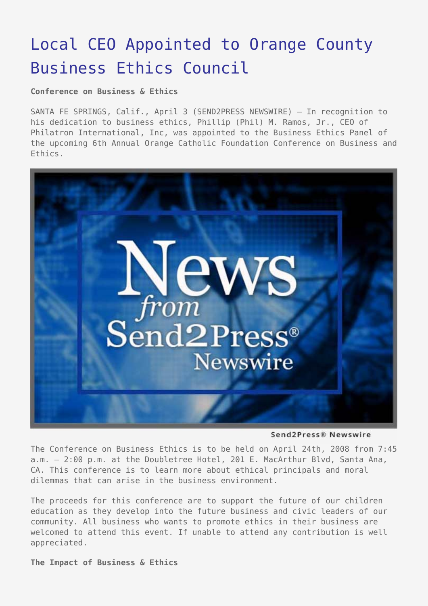## [Local CEO Appointed to Orange County](https://www.send2press.com/wire/2008-04-0403-005/) [Business Ethics Council](https://www.send2press.com/wire/2008-04-0403-005/)

**Conference on Business & Ethics**

SANTA FE SPRINGS, Calif., April 3 (SEND2PRESS NEWSWIRE) — In recognition to his dedication to business ethics, Phillip (Phil) M. Ramos, Jr., CEO of Philatron International, Inc, was appointed to the Business Ethics Panel of the upcoming 6th Annual Orange Catholic Foundation Conference on Business and Ethics.



Send2Press® Newswire

The Conference on Business Ethics is to be held on April 24th, 2008 from 7:45 a.m. – 2:00 p.m. at the Doubletree Hotel, 201 E. MacArthur Blvd, Santa Ana, CA. This conference is to learn more about ethical principals and moral dilemmas that can arise in the business environment.

The proceeds for this conference are to support the future of our children education as they develop into the future business and civic leaders of our community. All business who wants to promote ethics in their business are welcomed to attend this event. If unable to attend any contribution is well appreciated.

**The Impact of Business & Ethics**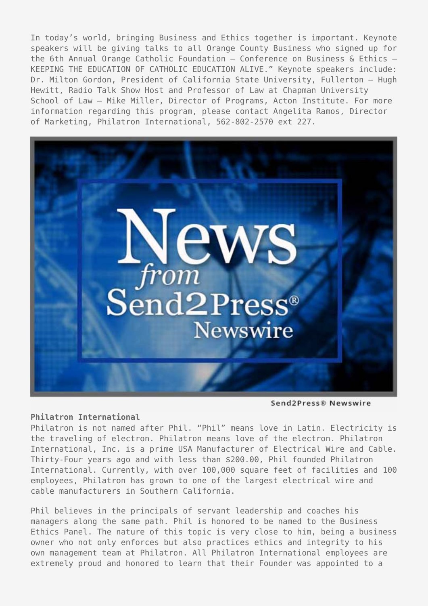In today's world, bringing Business and Ethics together is important. Keynote speakers will be giving talks to all Orange County Business who signed up for the 6th Annual Orange Catholic Foundation – Conference on Business & Ethics – KEEPING THE EDUCATION OF CATHOLIC EDUCATION ALIVE." Keynote speakers include: Dr. Milton Gordon, President of California State University, Fullerton – Hugh Hewitt, Radio Talk Show Host and Professor of Law at Chapman University School of Law – Mike Miller, Director of Programs, Acton Institute. For more information regarding this program, please contact Angelita Ramos, Director of Marketing, Philatron International, 562-802-2570 ext 227.



Send2Press® Newswire

## **Philatron International**

Philatron is not named after Phil. "Phil" means love in Latin. Electricity is the traveling of electron. Philatron means love of the electron. Philatron International, Inc. is a prime USA Manufacturer of Electrical Wire and Cable. Thirty-Four years ago and with less than \$200.00, Phil founded Philatron International. Currently, with over 100,000 square feet of facilities and 100 employees, Philatron has grown to one of the largest electrical wire and cable manufacturers in Southern California.

Phil believes in the principals of servant leadership and coaches his managers along the same path. Phil is honored to be named to the Business Ethics Panel. The nature of this topic is very close to him, being a business owner who not only enforces but also practices ethics and integrity to his own management team at Philatron. All Philatron International employees are extremely proud and honored to learn that their Founder was appointed to a